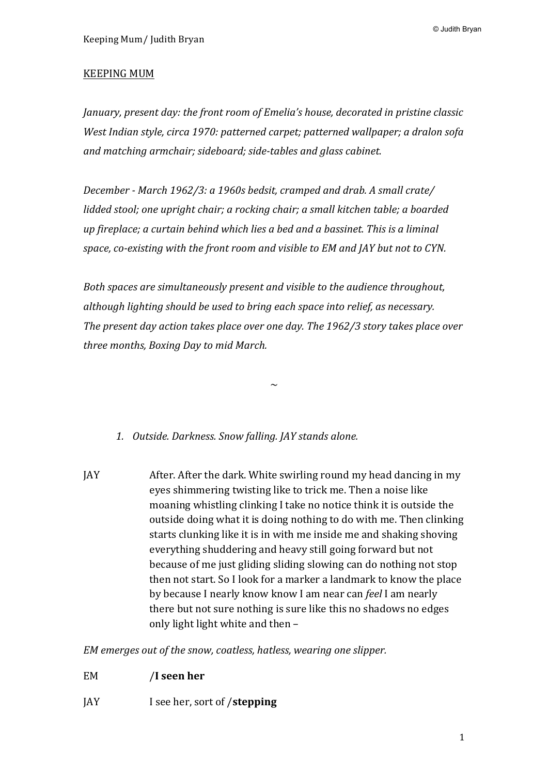© Judith Bryan

## **KEEPING MUM**

*January, present day: the front room of Emelia's house, decorated in pristine classic West Indian style, circa 1970: patterned carpet; patterned wallpaper; a dralon sofa* and matching armchair; sideboard; side-tables and glass cabinet.

*December* - March 1962/3: a 1960s bedsit, cramped and drab. A small crate/ *lidded* stool; one upright chair; a rocking chair; a small kitchen table; a boarded *up* fireplace; a curtain behind which lies a bed and a bassinet. This is a liminal space, co-existing with the front room and visible to EM and JAY but not to CYN.

*Both spaces are simultaneously present and visible to the audience throughout, although lighting should be used to bring each space into relief, as necessary.* The present day action takes place over one day. The 1962/3 story takes place over *three months, Boxing Day to mid March.* 

 $\sim$ 

*1. Outside. Darkness. Snow falling. JAY stands alone.*

JAY After. After the dark. White swirling round my head dancing in my eves shimmering twisting like to trick me. Then a noise like moaning whistling clinking I take no notice think it is outside the outside doing what it is doing nothing to do with me. Then clinking starts clunking like it is in with me inside me and shaking shoving everything shuddering and heavy still going forward but not because of me just gliding sliding slowing can do nothing not stop then not start. So I look for a marker a landmark to know the place by because I nearly know know I am near can *feel* I am nearly there but not sure nothing is sure like this no shadows no edges only light light white and then  $-$ 

*EM* emerges out of the snow, coatless, hatless, wearing one slipper.

- EM /**I** seen her
- JAY I see her, sort of /**stepping**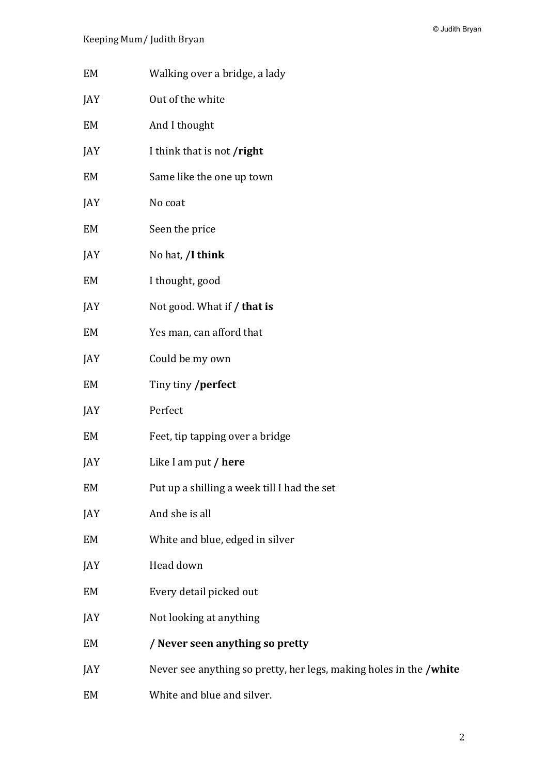© Judith Bryan

- EM Walking over a bridge, a lady
- JAY Out of the white
- EM And I thought
- JAY I think that is not /**right**
- EM Same like the one up town
- JAY No coat
- EM Seen the price
- JAY No hat, **/I think**
- EM I thought, good
- JAY Not good. What if **/ that is**
- EM Yes man, can afford that
- JAY Could be my own
- EM Tiny tiny /perfect
- JAY Perfect
- EM Feet, tip tapping over a bridge
- JAY Like I am put / **here**
- EM Put up a shilling a week till I had the set
- JAY And she is all
- EM White and blue, edged in silver
- JAY Head down
- EM Every detail picked out
- JAY Not looking at anything
- EM /**Never seen anything so pretty**
- JAY Never see anything so pretty, her legs, making holes in the **/white**
- EM White and blue and silver.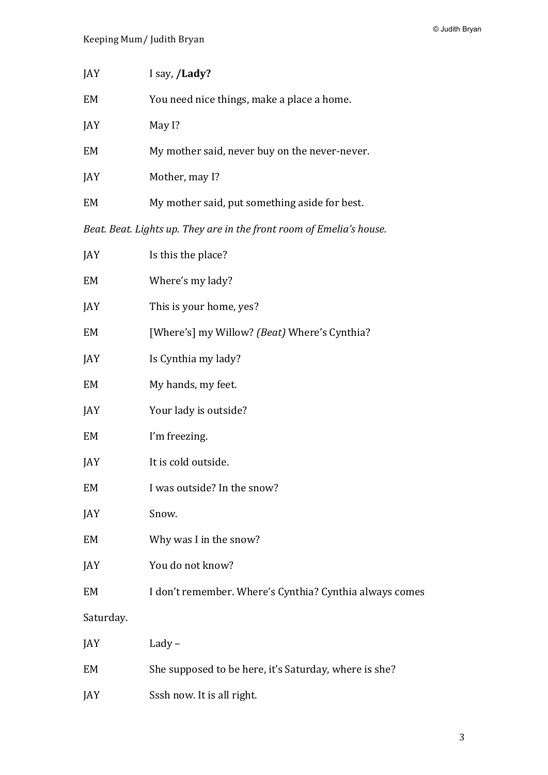| JAY                                                                  | I say, /Lady?                                 |
|----------------------------------------------------------------------|-----------------------------------------------|
| EM                                                                   | You need nice things, make a place a home.    |
| JAY                                                                  | May I?                                        |
| EM                                                                   | My mother said, never buy on the never-never. |
| JAY                                                                  | Mother, may I?                                |
| EM                                                                   | My mother said, put something aside for best. |
| Beat. Beat. Lights up. They are in the front room of Emelia's house. |                                               |

| JAY       | Is this the place?                                      |
|-----------|---------------------------------------------------------|
| EM        | Where's my lady?                                        |
| JAY       | This is your home, yes?                                 |
| EM        | [Where's] my Willow? (Beat) Where's Cynthia?            |
| JAY       | Is Cynthia my lady?                                     |
| EM        | My hands, my feet.                                      |
| JAY       | Your lady is outside?                                   |
| EM        | I'm freezing.                                           |
| JAY       | It is cold outside.                                     |
| EM        | I was outside? In the snow?                             |
| JAY       | Snow.                                                   |
| EM        | Why was I in the snow?                                  |
| JAY       | You do not know?                                        |
| EM        | I don't remember. Where's Cynthia? Cynthia always comes |
| Saturday. |                                                         |
| JAY       | Lady $-$                                                |
| EM        | She supposed to be here, it's Saturday, where is she?   |
| JAY       | Sssh now. It is all right.                              |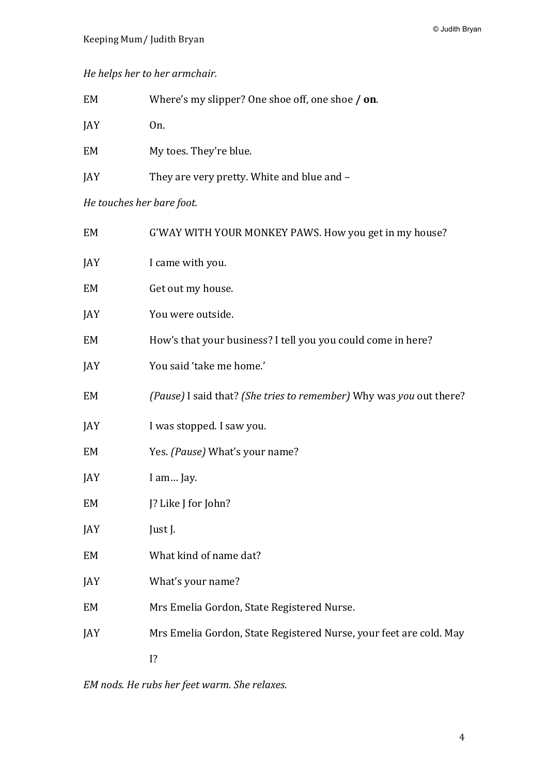# *He helps her to her armchair.*

| EM                        | Where's my slipper? One shoe off, one shoe / on. |
|---------------------------|--------------------------------------------------|
| JAY                       | On.                                              |
| EM                        | My toes. They're blue.                           |
| JAY                       | They are very pretty. White and blue and -       |
| He touches her bare foot. |                                                  |

| EM  | G'WAY WITH YOUR MONKEY PAWS. How you get in my house?               |
|-----|---------------------------------------------------------------------|
| JAY | I came with you.                                                    |
| EM  | Get out my house.                                                   |
| JAY | You were outside.                                                   |
| EM  | How's that your business? I tell you you could come in here?        |
| JAY | You said 'take me home.'                                            |
| EM  | (Pause) I said that? (She tries to remember) Why was you out there? |
| JAY | I was stopped. I saw you.                                           |
| EM  | Yes. (Pause) What's your name?                                      |
| JAY | I am Jay.                                                           |
| EM  | J? Like J for John?                                                 |
| JAY | Just J.                                                             |
| EM  | What kind of name dat?                                              |
| JAY | What's your name?                                                   |
| EM  | Mrs Emelia Gordon, State Registered Nurse.                          |
| JAY | Mrs Emelia Gordon, State Registered Nurse, your feet are cold. May  |
|     | 1?                                                                  |

*EM nods. He rubs her feet warm. She relaxes.*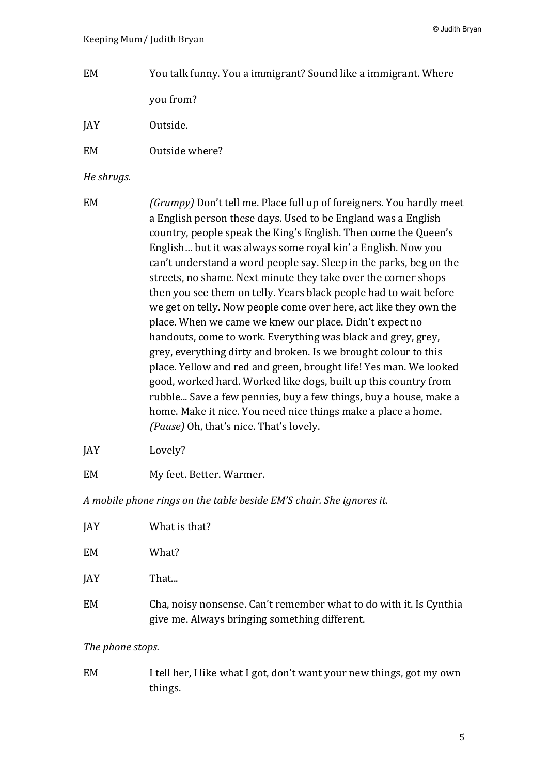- EM You talk funny. You a immigrant? Sound like a immigrant. Where you from?
- JAY Outside.
- EM Outside where?

# *He shrugs.*

| EM | (Grumpy) Don't tell me. Place full up of foreigners. You hardly meet |
|----|----------------------------------------------------------------------|
|    | a English person these days. Used to be England was a English        |
|    | country, people speak the King's English. Then come the Queen's      |
|    | English but it was always some royal kin' a English. Now you         |
|    | can't understand a word people say. Sleep in the parks, beg on the   |
|    | streets, no shame. Next minute they take over the corner shops       |
|    | then you see them on telly. Years black people had to wait before    |
|    | we get on telly. Now people come over here, act like they own the    |
|    | place. When we came we knew our place. Didn't expect no              |
|    | handouts, come to work. Everything was black and grey, grey,         |
|    | grey, everything dirty and broken. Is we brought colour to this      |
|    | place. Yellow and red and green, brought life! Yes man. We looked    |
|    | good, worked hard. Worked like dogs, built up this country from      |
|    | rubble Save a few pennies, buy a few things, buy a house, make a     |
|    | home. Make it nice. You need nice things make a place a home.        |
|    | (Pause) Oh, that's nice. That's lovely.                              |
|    |                                                                      |

- JAY Lovely?
- EM My feet. Better. Warmer.

*A* mobile phone rings on the table beside EM'S chair. She ignores it.

| <b>JAY</b> | What is that?                                                                                                       |
|------------|---------------------------------------------------------------------------------------------------------------------|
| <b>EM</b>  | What?                                                                                                               |
| <b>JAY</b> | That                                                                                                                |
| <b>EM</b>  | Cha, noisy nonsense. Can't remember what to do with it. Is Cynthia<br>give me. Always bringing something different. |

#### The phone stops.

EM I tell her, I like what I got, don't want your new things, got my own things.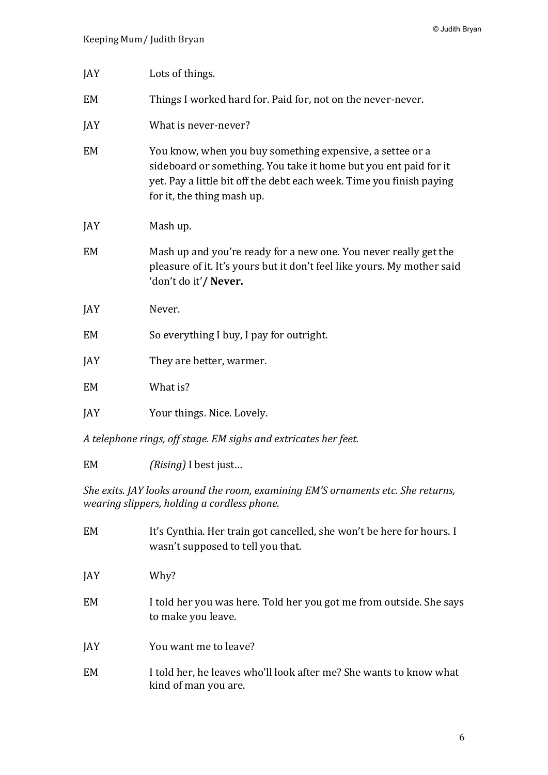| JAY | Lots of things.                                                                                                                                                                                                                     |
|-----|-------------------------------------------------------------------------------------------------------------------------------------------------------------------------------------------------------------------------------------|
| EM  | Things I worked hard for. Paid for, not on the never-never.                                                                                                                                                                         |
| JAY | What is never-never?                                                                                                                                                                                                                |
| EM  | You know, when you buy something expensive, a settee or a<br>sideboard or something. You take it home but you ent paid for it<br>yet. Pay a little bit off the debt each week. Time you finish paying<br>for it, the thing mash up. |
| JAY | Mash up.                                                                                                                                                                                                                            |
| EM  | Mash up and you're ready for a new one. You never really get the<br>pleasure of it. It's yours but it don't feel like yours. My mother said<br>'don't do it'/ Never.                                                                |
| JAY | Never.                                                                                                                                                                                                                              |
| EM  | So everything I buy, I pay for outright.                                                                                                                                                                                            |
| JAY | They are better, warmer.                                                                                                                                                                                                            |
| EM  | What is?                                                                                                                                                                                                                            |
| JAY | Your things. Nice. Lovely.                                                                                                                                                                                                          |

*A telephone rings, off stage. EM sighs and extricates her feet.*

EM *(Rising)* I best just...

*She exits.* JAY looks around the room, examining EM'S ornaments etc. She returns, *wearing slippers, holding a cordless phone.*

| EM  | It's Cynthia. Her train got cancelled, she won't be here for hours. I<br>wasn't supposed to tell you that. |
|-----|------------------------------------------------------------------------------------------------------------|
| JAY | Why?                                                                                                       |
| EM  | I told her you was here. Told her you got me from outside. She says<br>to make you leave.                  |
| JAY | You want me to leave?                                                                                      |
| EM  | I told her, he leaves who'll look after me? She wants to know what<br>kind of man you are.                 |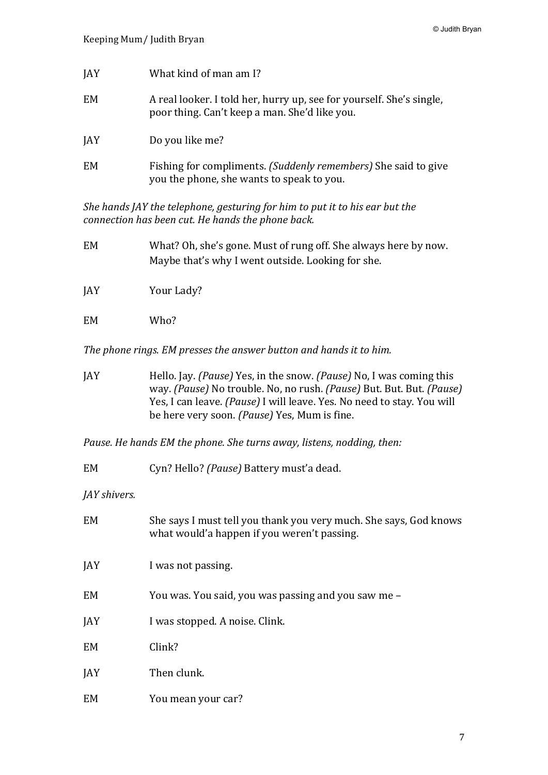| JAY        | What kind of man am I?                                                                                                |
|------------|-----------------------------------------------------------------------------------------------------------------------|
| EM         | A real looker. I told her, hurry up, see for yourself. She's single,<br>poor thing. Can't keep a man. She'd like you. |
| <b>JAY</b> | Do you like me?                                                                                                       |
| EM         | Fishing for compliments. (Suddenly remembers) She said to give<br>you the phone, she wants to speak to you.           |

*She hands JAY the telephone, gesturing for him to put it to his ear but the connection has been cut. He hands the phone back.* 

- EM What? Oh, she's gone. Must of rung off. She always here by now. Maybe that's why I went outside. Looking for she.
- JAY Your Lady?
- EM Who?

The phone rings. EM presses the answer button and hands it to him.

JAY Hello. Jay. *(Pause)* Yes, in the snow. *(Pause)* No, I was coming this way. *(Pause)* No trouble. No, no rush. *(Pause)* But. But. *(Pause)* Yes, I can leave. *(Pause)* I will leave. Yes. No need to stay. You will be here very soon. *(Pause)* Yes, Mum is fine.

*Pause. He hands EM the phone. She turns away, listens, nodding, then:* 

EM Cyn? Hello? *(Pause)* Battery must'a dead.

*JAY* shivers.

| EM        | She says I must tell you thank you very much. She says, God knows<br>what would'a happen if you weren't passing. |
|-----------|------------------------------------------------------------------------------------------------------------------|
| JAY       | I was not passing.                                                                                               |
| <b>EM</b> | You was. You said, you was passing and you saw me –                                                              |
| JAY       | I was stopped. A noise. Clink.                                                                                   |
| <b>EM</b> | Clink?                                                                                                           |
| JAY       | Then clunk.                                                                                                      |
| <b>EM</b> | You mean your car?                                                                                               |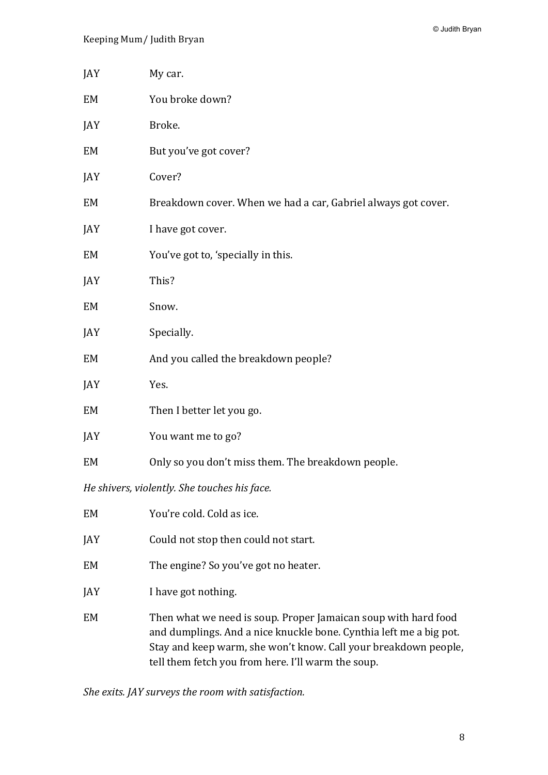| JAY | My car.                                                                                                                                                                                                                                                                                                                                                                              |
|-----|--------------------------------------------------------------------------------------------------------------------------------------------------------------------------------------------------------------------------------------------------------------------------------------------------------------------------------------------------------------------------------------|
| EM  | You broke down?                                                                                                                                                                                                                                                                                                                                                                      |
| JAY | Broke.                                                                                                                                                                                                                                                                                                                                                                               |
| EM  | But you've got cover?                                                                                                                                                                                                                                                                                                                                                                |
| JAY | Cover?                                                                                                                                                                                                                                                                                                                                                                               |
| EM  | Breakdown cover. When we had a car, Gabriel always got cover.                                                                                                                                                                                                                                                                                                                        |
| JAY | I have got cover.                                                                                                                                                                                                                                                                                                                                                                    |
| EM  | You've got to, 'specially in this.                                                                                                                                                                                                                                                                                                                                                   |
| JAY | This?                                                                                                                                                                                                                                                                                                                                                                                |
| EM  | Snow.                                                                                                                                                                                                                                                                                                                                                                                |
| JAY | Specially.                                                                                                                                                                                                                                                                                                                                                                           |
| EM  | And you called the breakdown people?                                                                                                                                                                                                                                                                                                                                                 |
| JAY | Yes.                                                                                                                                                                                                                                                                                                                                                                                 |
| EM  | Then I better let you go.                                                                                                                                                                                                                                                                                                                                                            |
| JAY | You want me to go?                                                                                                                                                                                                                                                                                                                                                                   |
| EM  | Only so you don't miss them. The breakdown people.                                                                                                                                                                                                                                                                                                                                   |
|     | $\overline{a}$ $\overline{a}$ $\overline{a}$ $\overline{a}$ $\overline{a}$ $\overline{a}$ $\overline{a}$ $\overline{a}$ $\overline{a}$ $\overline{a}$ $\overline{a}$ $\overline{a}$ $\overline{a}$ $\overline{a}$ $\overline{a}$ $\overline{a}$ $\overline{a}$ $\overline{a}$ $\overline{a}$ $\overline{a}$ $\overline{a}$ $\overline{a}$ $\overline{a}$ $\overline{a}$ $\overline{$ |

*He shivers, violently. She touches his face.* 

| EM  | You're cold. Cold as ice.                                                                                                                                                                                                                                     |
|-----|---------------------------------------------------------------------------------------------------------------------------------------------------------------------------------------------------------------------------------------------------------------|
| JAY | Could not stop then could not start.                                                                                                                                                                                                                          |
| EM  | The engine? So you've got no heater.                                                                                                                                                                                                                          |
| JAY | I have got nothing.                                                                                                                                                                                                                                           |
| EM  | Then what we need is soup. Proper Jamaican soup with hard food<br>and dumplings. And a nice knuckle bone. Cynthia left me a big pot.<br>Stay and keep warm, she won't know. Call your breakdown people,<br>tell them fetch you from here. I'll warm the soup. |

She exits. JAY surveys the room with satisfaction.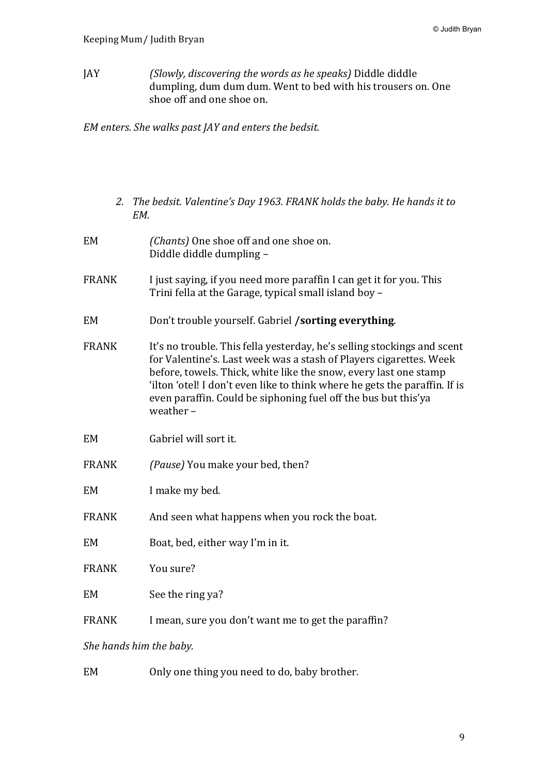JAY *(Slowly, discovering the words as he speaks)* Diddle diddle dumpling, dum dum dum. Went to bed with his trousers on. One shoe off and one shoe on.

*EM* enters. She walks past JAY and enters the bedsit.

- 2. The bedsit. Valentine's Day 1963. FRANK holds the baby. He hands it to *EM.*
- EM *(Chants)* One shoe off and one shoe on. Diddle diddle dumpling -
- FRANK I just saying, if you need more paraffin I can get it for you. This Trini fella at the Garage, typical small island boy  $-$
- EM Don't trouble vourself. Gabriel **/sorting everything**.
- FRANK It's no trouble. This fella yesterday, he's selling stockings and scent for Valentine's. Last week was a stash of Players cigarettes. Week before, towels. Thick, white like the snow, every last one stamp 'ilton 'otel! I don't even like to think where he gets the paraffin. If is even paraffin. Could be siphoning fuel off the bus but this'ya weather  $-$
- EM Gabriel will sort it.
- FRANK *(Pause)* You make your bed, then?
- EM I make my bed.
- FRANK And seen what happens when you rock the boat.
- EM Boat, bed, either way I'm in it.
- FRANK You sure?
- EM See the ring ya?
- FRANK I mean, sure you don't want me to get the paraffin?

She hands him the baby.

EM Only one thing you need to do, baby brother.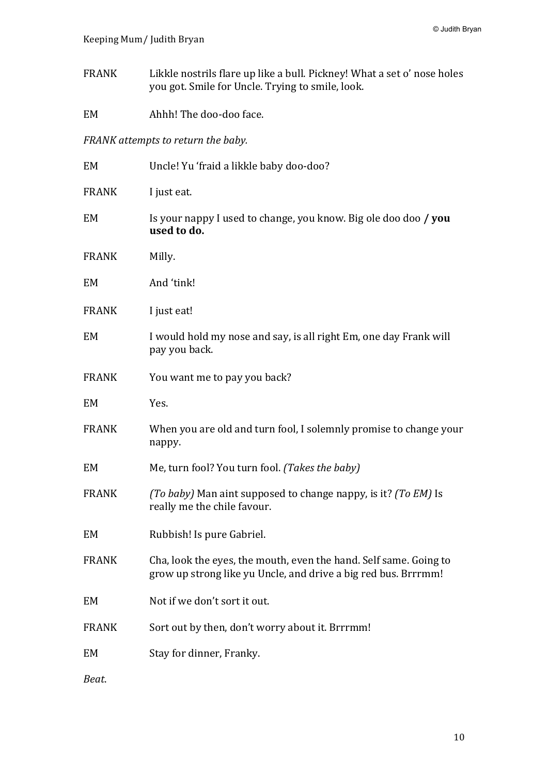- FRANK Likkle nostrils flare up like a bull. Pickney! What a set o' nose holes you got. Smile for Uncle. Trying to smile, look.
- EM Ahhh! The doo-doo face.

*FRANK* attempts to return the baby.

| EM           | Uncle! Yu 'fraid a likkle baby doo-doo?                                                                                             |
|--------------|-------------------------------------------------------------------------------------------------------------------------------------|
| <b>FRANK</b> | I just eat.                                                                                                                         |
| EM           | Is your nappy I used to change, you know. Big ole doo doo / you<br>used to do.                                                      |
| <b>FRANK</b> | Milly.                                                                                                                              |
| EM           | And 'tink!                                                                                                                          |
| <b>FRANK</b> | I just eat!                                                                                                                         |
| EM           | I would hold my nose and say, is all right Em, one day Frank will<br>pay you back.                                                  |
| <b>FRANK</b> | You want me to pay you back?                                                                                                        |
| EM           | Yes.                                                                                                                                |
| <b>FRANK</b> | When you are old and turn fool, I solemnly promise to change your<br>nappy.                                                         |
| EM           | Me, turn fool? You turn fool. (Takes the baby)                                                                                      |
| <b>FRANK</b> | (To baby) Man aint supposed to change nappy, is it? (To EM) Is<br>really me the chile favour.                                       |
| EM           | Rubbish! Is pure Gabriel.                                                                                                           |
| <b>FRANK</b> | Cha, look the eyes, the mouth, even the hand. Self same. Going to<br>grow up strong like yu Uncle, and drive a big red bus. Brrrmm! |
| EM           | Not if we don't sort it out.                                                                                                        |
| <b>FRANK</b> | Sort out by then, don't worry about it. Brrrmm!                                                                                     |
| <b>EM</b>    | Stay for dinner, Franky.                                                                                                            |
| Beat.        |                                                                                                                                     |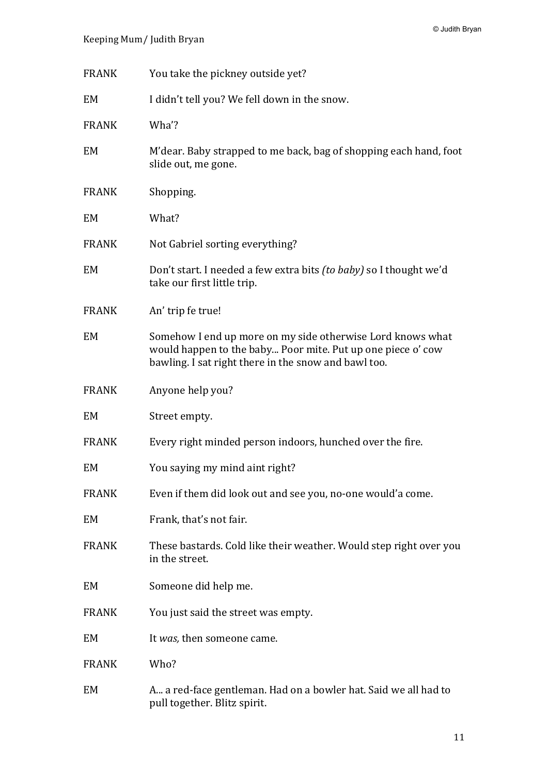| <b>FRANK</b> | You take the pickney outside yet?                                                                                                                                                 |
|--------------|-----------------------------------------------------------------------------------------------------------------------------------------------------------------------------------|
| EM           | I didn't tell you? We fell down in the snow.                                                                                                                                      |
| <b>FRANK</b> | Wha?                                                                                                                                                                              |
| EM           | M'dear. Baby strapped to me back, bag of shopping each hand, foot<br>slide out, me gone.                                                                                          |
| <b>FRANK</b> | Shopping.                                                                                                                                                                         |
| EM           | What?                                                                                                                                                                             |
| <b>FRANK</b> | Not Gabriel sorting everything?                                                                                                                                                   |
| EM           | Don't start. I needed a few extra bits <i>(to baby)</i> so I thought we'd<br>take our first little trip.                                                                          |
| <b>FRANK</b> | An' trip fe true!                                                                                                                                                                 |
| EM           | Somehow I end up more on my side otherwise Lord knows what<br>would happen to the baby Poor mite. Put up one piece o' cow<br>bawling. I sat right there in the snow and bawl too. |
| <b>FRANK</b> | Anyone help you?                                                                                                                                                                  |
| EM           | Street empty.                                                                                                                                                                     |
| <b>FRANK</b> | Every right minded person indoors, hunched over the fire.                                                                                                                         |
| EM           | You saying my mind aint right?                                                                                                                                                    |
| <b>FRANK</b> | Even if them did look out and see you, no-one would'a come.                                                                                                                       |
| EM           | Frank, that's not fair.                                                                                                                                                           |
| <b>FRANK</b> | These bastards. Cold like their weather. Would step right over you<br>in the street.                                                                                              |
| EM           | Someone did help me.                                                                                                                                                              |
| <b>FRANK</b> | You just said the street was empty.                                                                                                                                               |
| EM           | It was, then someone came.                                                                                                                                                        |
| <b>FRANK</b> | Who?                                                                                                                                                                              |
| EM           | A a red-face gentleman. Had on a bowler hat. Said we all had to<br>pull together. Blitz spirit.                                                                                   |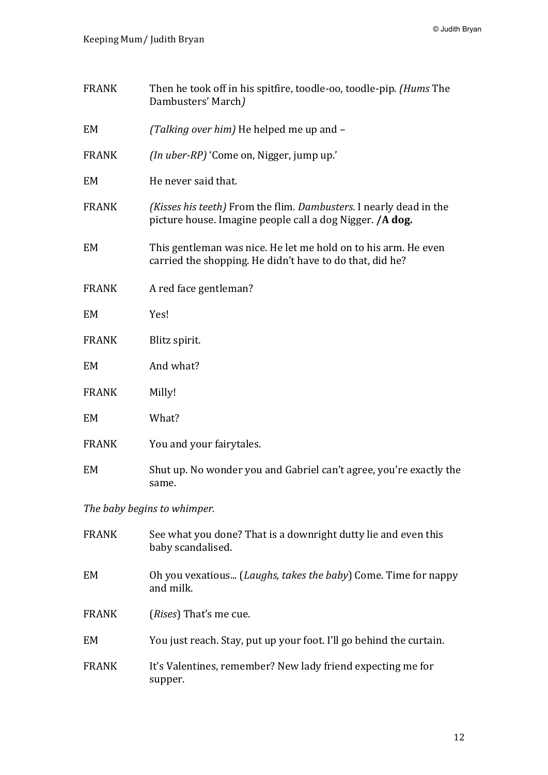| <b>FRANK</b> | Then he took off in his spitfire, toodle-oo, toodle-pip. (Hums The<br>Dambusters' March)                                                       |
|--------------|------------------------------------------------------------------------------------------------------------------------------------------------|
| EM           | (Talking over him) He helped me up and -                                                                                                       |
| <b>FRANK</b> | (In uber-RP) 'Come on, Nigger, jump up.'                                                                                                       |
| EM           | He never said that.                                                                                                                            |
| <b>FRANK</b> | <i>(Kisses his teeth)</i> From the flim. <i>Dambusters</i> . I nearly dead in the<br>picture house. Imagine people call a dog Nigger. / A dog. |
| EM           | This gentleman was nice. He let me hold on to his arm. He even<br>carried the shopping. He didn't have to do that, did he?                     |
| <b>FRANK</b> | A red face gentleman?                                                                                                                          |
| EM           | Yes!                                                                                                                                           |
| <b>FRANK</b> | Blitz spirit.                                                                                                                                  |
| EM           | And what?                                                                                                                                      |
| <b>FRANK</b> | Milly!                                                                                                                                         |
| EM           | What?                                                                                                                                          |
| <b>FRANK</b> | You and your fairytales.                                                                                                                       |
| EM           | Shut up. No wonder you and Gabriel can't agree, you're exactly the<br>same.                                                                    |

The baby begins to whimper.

| <b>FRANK</b> | See what you done? That is a downright dutty lie and even this<br>baby scandalised. |
|--------------|-------------------------------------------------------------------------------------|
| EM           | Oh you vexatious (Laughs, takes the baby) Come. Time for nappy<br>and milk.         |
| <b>FRANK</b> | ( <i>Rises</i> ) That's me cue.                                                     |
| EM           | You just reach. Stay, put up your foot. I'll go behind the curtain.                 |
| <b>FRANK</b> | It's Valentines, remember? New lady friend expecting me for<br>supper.              |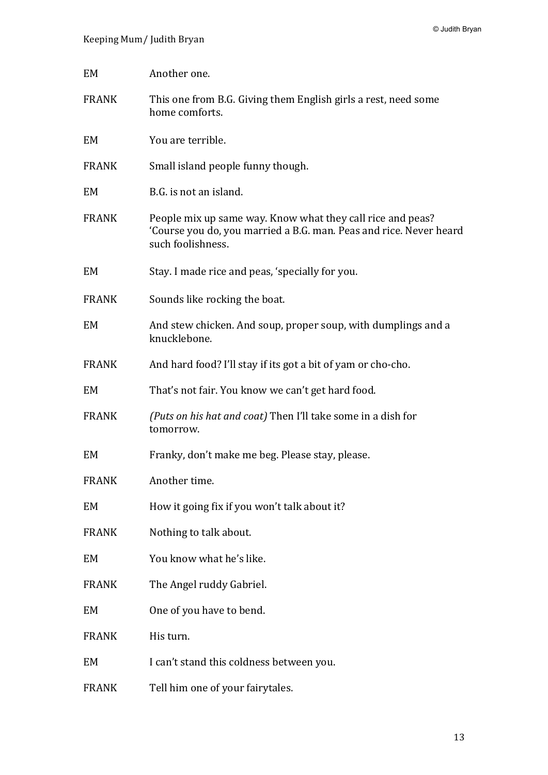| EM           | Another one.                                                                                                                                          |
|--------------|-------------------------------------------------------------------------------------------------------------------------------------------------------|
| <b>FRANK</b> | This one from B.G. Giving them English girls a rest, need some<br>home comforts.                                                                      |
| EM           | You are terrible.                                                                                                                                     |
| <b>FRANK</b> | Small island people funny though.                                                                                                                     |
| EM           | B.G. is not an island.                                                                                                                                |
| <b>FRANK</b> | People mix up same way. Know what they call rice and peas?<br>'Course you do, you married a B.G. man. Peas and rice. Never heard<br>such foolishness. |
| EM           | Stay. I made rice and peas, 'specially for you.                                                                                                       |
| <b>FRANK</b> | Sounds like rocking the boat.                                                                                                                         |
| EM           | And stew chicken. And soup, proper soup, with dumplings and a<br>knucklebone.                                                                         |
| <b>FRANK</b> | And hard food? I'll stay if its got a bit of yam or cho-cho.                                                                                          |
| EM           | That's not fair. You know we can't get hard food.                                                                                                     |
| <b>FRANK</b> | (Puts on his hat and coat) Then I'll take some in a dish for<br>tomorrow.                                                                             |
| EM           | Franky, don't make me beg. Please stay, please.                                                                                                       |
| <b>FRANK</b> | Another time.                                                                                                                                         |
| EM           | How it going fix if you won't talk about it?                                                                                                          |
| <b>FRANK</b> | Nothing to talk about.                                                                                                                                |
| EM           | You know what he's like.                                                                                                                              |
| <b>FRANK</b> | The Angel ruddy Gabriel.                                                                                                                              |
| EM           | One of you have to bend.                                                                                                                              |
| <b>FRANK</b> | His turn.                                                                                                                                             |
| EM           | I can't stand this coldness between you.                                                                                                              |
| <b>FRANK</b> | Tell him one of your fairytales.                                                                                                                      |